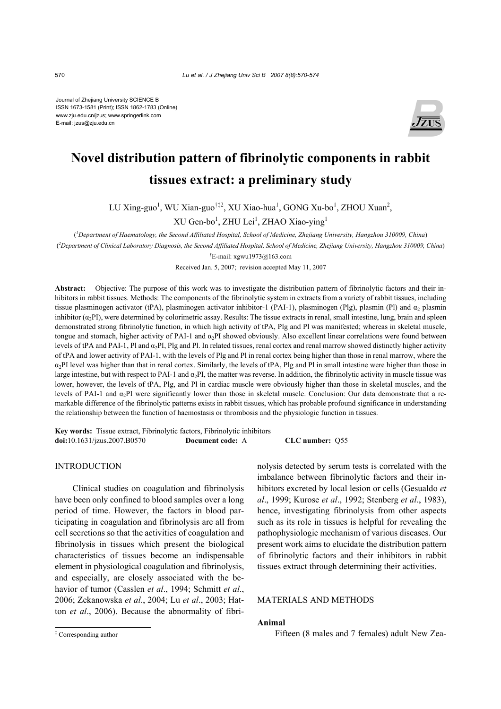Journal of Zhejiang University SCIENCE B ISSN 1673-1581 (Print); ISSN 1862-1783 (Online) www.zju.edu.cn/jzus; www.springerlink.com E-mail: jzus@zju.edu.cn



# **Novel distribution pattern of fibrinolytic components in rabbit tissues extract: a preliminary study**

LU Xing-guo<sup>1</sup>, WU Xian-guo<sup>†‡2</sup>, XU Xiao-hua<sup>1</sup>, GONG Xu-bo<sup>1</sup>, ZHOU Xuan<sup>2</sup>,  $XU$  Gen-bo<sup>1</sup>, ZHU Lei<sup>1</sup>, ZHAO Xiao-ying<sup>1</sup>

( *1 Department of Haematology, the Second Affiliated Hospital, School of Medicine, Zhejiang University, Hangzhou 310009, China*)

( *2 Department of Clinical Laboratory Diagnosis, the Second Affiliated Hospital, School of Medicine, Zhejiang University, Hangzhou 310009, China*) † E-mail: xgwu1973@163.com

Received Jan. 5, 2007; revision accepted May 11, 2007

**Abstract:** Objective: The purpose of this work was to investigate the distribution pattern of fibrinolytic factors and their inhibitors in rabbit tissues. Methods: The components of the fibrinolytic system in extracts from a variety of rabbit tissues, including tissue plasminogen activator (tPA), plasminogen activator inhibitor-1 (PAI-1), plasminogen (Plg), plasmin (Pl) and  $\alpha_2$  plasmin inhibitor  $(\alpha_2 P I)$ , were determined by colorimetric assay. Results: The tissue extracts in renal, small intestine, lung, brain and spleen demonstrated strong fibrinolytic function, in which high activity of tPA, Plg and Pl was manifested; whereas in skeletal muscle, tongue and stomach, higher activity of PAI-1 and  $\alpha_2$ PI showed obviously. Also excellent linear correlations were found between levels of tPA and PAI-1, Pl and  $\alpha_2$ PI, Plg and Pl. In related tissues, renal cortex and renal marrow showed distinctly higher activity of tPA and lower activity of PAI-1, with the levels of Plg and Pl in renal cortex being higher than those in renal marrow, where the  $\alpha_2$ PI level was higher than that in renal cortex. Similarly, the levels of tPA, Plg and Pl in small intestine were higher than those in large intestine, but with respect to PAI-1 and  $\alpha_2$ PI, the matter was reverse. In addition, the fibrinolytic activity in muscle tissue was lower, however, the levels of tPA, Plg, and Pl in cardiac muscle were obviously higher than those in skeletal muscles, and the levels of PAI-1 and  $\alpha_2$ PI were significantly lower than those in skeletal muscle. Conclusion: Our data demonstrate that a remarkable difference of the fibrinolytic patterns exists in rabbit tissues, which has probable profound significance in understanding the relationship between the function of haemostasis or thrombosis and the physiologic function in tissues.

**Key words:** Tissue extract, Fibrinolytic factors, Fibrinolytic inhibitors **doi:**10.1631/jzus.2007.B0570 **Document code:** A **CLC number:** Q55

INTRODUCTION

Clinical studies on coagulation and fibrinolysis have been only confined to blood samples over a long period of time. However, the factors in blood participating in coagulation and fibrinolysis are all from cell secretions so that the activities of coagulation and fibrinolysis in tissues which present the biological characteristics of tissues become an indispensable element in physiological coagulation and fibrinolysis, and especially, are closely associated with the behavior of tumor (Casslen *et al*., 1994; Schmitt *et al*., 2006; Zekanowska *et al*., 2004; Lu *et al*., 2003; Hatton *et al*., 2006). Because the abnormality of fibri-

nolysis detected by serum tests is correlated with the imbalance between fibrinolytic factors and their inhibitors excreted by local lesion or cells (Gesualdo *et al*., 1999; Kurose *et al*., 1992; Stenberg *et al*., 1983), hence, investigating fibrinolysis from other aspects such as its role in tissues is helpful for revealing the pathophysiologic mechanism of various diseases. Our present work aims to elucidate the distribution pattern of fibrinolytic factors and their inhibitors in rabbit tissues extract through determining their activities.

## MATERIALS AND METHODS

### **Animal**

Fifteen (8 males and 7 females) adult New Zea-

<sup>‡</sup> Corresponding author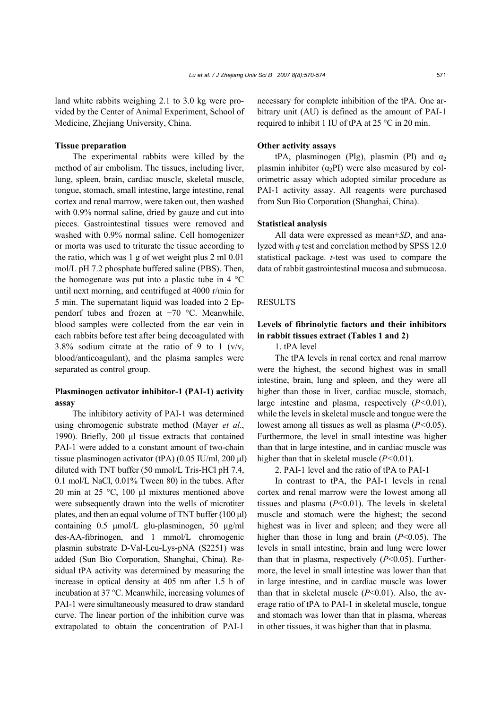land white rabbits weighing 2.1 to 3.0 kg were provided by the Center of Animal Experiment, School of Medicine, Zhejiang University, China.

## **Tissue preparation**

The experimental rabbits were killed by the method of air embolism. The tissues, including liver, lung, spleen, brain, cardiac muscle, skeletal muscle, tongue, stomach, small intestine, large intestine, renal cortex and renal marrow, were taken out, then washed with 0.9% normal saline, dried by gauze and cut into pieces. Gastrointestinal tissues were removed and washed with 0.9% normal saline. Cell homogenizer or morta was used to triturate the tissue according to the ratio, which was 1 g of wet weight plus 2 ml 0.01 mol/L pH 7.2 phosphate buffered saline (PBS). Then, the homogenate was put into a plastic tube in  $4^{\circ}$ C until next morning, and centrifuged at 4000 r/min for 5 min. The supernatant liquid was loaded into 2 Eppendorf tubes and frozen at −70 °C. Meanwhile, blood samples were collected from the ear vein in each rabbits before test after being decoagulated with 3.8% sodium citrate at the ratio of 9 to 1 ( $v/v$ , blood/anticoagulant), and the plasma samples were separated as control group.

# **Plasminogen activator inhibitor-1 (PAI-1) activity assay**

The inhibitory activity of PAI-1 was determined using chromogenic substrate method (Mayer *et al*., 1990). Briefly, 200 µl tissue extracts that contained PAI-1 were added to a constant amount of two-chain tissue plasminogen activator (tPA) (0.05 IU/ml, 200 µl) diluted with TNT buffer (50 mmol/L Tris-HCl pH 7.4, 0.1 mol/L NaCl, 0.01% Tween 80) in the tubes. After 20 min at 25 °C, 100 µl mixtures mentioned above were subsequently drawn into the wells of microtiter plates, and then an equal volume of TNT buffer  $(100 \mu l)$ containing 0.5 µmol/L glu-plasminogen, 50 µg/ml des-AA-fibrinogen, and 1 mmol/L chromogenic plasmin substrate D-Val-Leu-Lys-pNA (S2251) was added (Sun Bio Corporation, Shanghai, China). Residual tPA activity was determined by measuring the increase in optical density at 405 nm after 1.5 h of incubation at 37 °C. Meanwhile, increasing volumes of PAI-1 were simultaneously measured to draw standard curve. The linear portion of the inhibition curve was extrapolated to obtain the concentration of PAI-1

necessary for complete inhibition of the tPA. One arbitrary unit (AU) is defined as the amount of PAI-1 required to inhibit 1 IU of tPA at 25 °C in 20 min.

#### **Other activity assays**

tPA, plasminogen (Plg), plasmin (Pl) and  $\alpha_2$ plasmin inhibitor  $(\alpha_2PI)$  were also measured by colorimetric assay which adopted similar procedure as PAI-1 activity assay. All reagents were purchased from Sun Bio Corporation (Shanghai, China).

## **Statistical analysis**

All data were expressed as mean±*SD*, and analyzed with *q* test and correlation method by SPSS 12.0 statistical package. *t*-test was used to compare the data of rabbit gastrointestinal mucosa and submucosa.

## **RESULTS**

# **Levels of fibrinolytic factors and their inhibitors in rabbit tissues extract (Tables 1 and 2)**

1. tPA level

The tPA levels in renal cortex and renal marrow were the highest, the second highest was in small intestine, brain, lung and spleen, and they were all higher than those in liver, cardiac muscle, stomach, large intestine and plasma, respectively (*P<*0.01), while the levels in skeletal muscle and tongue were the lowest among all tissues as well as plasma (*P<*0.05). Furthermore, the level in small intestine was higher than that in large intestine, and in cardiac muscle was higher than that in skeletal muscle (*P<*0.01).

2. PAI-1 level and the ratio of tPA to PAI-1

In contrast to tPA, the PAI-1 levels in renal cortex and renal marrow were the lowest among all tissues and plasma (*P*<0.01). The levels in skeletal muscle and stomach were the highest; the second highest was in liver and spleen; and they were all higher than those in lung and brain (*P*<0.05). The levels in small intestine, brain and lung were lower than that in plasma, respectively (*P*<0.05). Furthermore, the level in small intestine was lower than that in large intestine, and in cardiac muscle was lower than that in skeletal muscle (*P*<0.01). Also, the average ratio of tPA to PAI-1 in skeletal muscle, tongue and stomach was lower than that in plasma, whereas in other tissues, it was higher than that in plasma.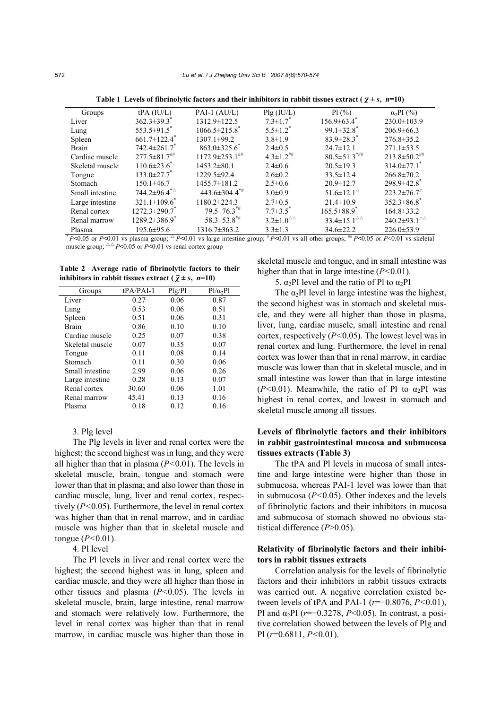| Groups          | $tPA$ (IU/L)                      | PAI-1 $(AU/L)$                    | Plg (IU/L)                       | $Pl($ %)                                          | $\alpha_2$ PI $(\%$                            |
|-----------------|-----------------------------------|-----------------------------------|----------------------------------|---------------------------------------------------|------------------------------------------------|
| Liver           | $362.3 \pm 39.3$ <sup>*</sup>     | $1312.9 \pm 122.5$                | $7.3 \pm 1.7$                    | $156.9 \pm 63.4$ <sup>*</sup>                     | $230.0 \pm 103.9$                              |
| Lung            | $553.5 \pm 91.5$ <sup>*</sup>     | $1066.5\pm215.8$ <sup>*</sup>     | $5.5 \pm 1.2^*$                  | $99.1 \pm 32.8$ <sup>*</sup>                      | $206.9\pm 66.3$                                |
| Spleen          | $661.7 \pm 122.4$ <sup>*</sup>    | $1307.1 \pm 99.2$                 | $3.8 \pm 1.9$                    | $83.9 \pm 28.3$ <sup>*</sup>                      | $276.8 \pm 35.2$                               |
| Brain           | $742.4 \pm 261.7$                 | $863.0 \pm 325.6$                 | $2.4 \pm 0.5$                    | $24.7 \pm 12.1$                                   | $271.1 \pm 53.5$                               |
| Cardiac muscle  | $277.5 \pm 81.7$ <sup>***</sup>   | $1172.9 \pm 253.1$ <sup>***</sup> | $4.3 \pm 1.2$ <sup>##</sup>      | $80.5 \pm 51.3$ <sup>*##</sup>                    | $213.8 \pm 50.2$ <sup>***</sup>                |
| Skeletal muscle | $110.6 \pm 23.6$ <sup>*</sup>     | $1453.2 \pm 80.1$                 | $2.4 \pm 0.6$                    | $20.5 \pm 19.3$                                   | $314.0 \pm 77.1$ <sup>*</sup>                  |
| Tongue          | $133.0 \pm 27.7$ <sup>*</sup>     | 1229.5±92.4                       | $2.6 \pm 0.2$                    | $33.5 \pm 12.4$                                   | $266.8 \pm 70.2$                               |
| Stomach         | $150.1 \pm 46.7$                  | $1455.7 \pm 181.2$                | $2.5 \pm 0.6$                    | $20.9 \pm 12.7$                                   | $298.9 \pm 42.8$ <sup>*</sup>                  |
| Small intestine | $744.2 \pm 96.4^{\ast \triangle}$ | $443.6 \pm 304.4$ <sup>*#</sup>   | $3.0 \pm 0.9$                    | 51.6 $\pm$ 12.1 <sup><math>\triangle</math></sup> | $223.2 \pm 76.7$ <sup><math>\circ</math></sup> |
| Large intestine | $321.1 \pm 109.6^{\circ}$         | $1180.2 \pm 224.3$                | $2.7 \pm 0.5$                    | $21.4 \pm 10.9$                                   | $352.3 \pm 86.8$ <sup>*</sup>                  |
| Renal cortex    | $1272.3 \pm 290.7$                | $79.5 \pm 76.3$ <sup>**</sup>     | $7.7 \pm 3.5$ <sup>*</sup>       | $165.5 \pm 88.9$ <sup>*</sup>                     | $164.8 \pm 33.2$                               |
| Renal marrow    | $1289.2 \pm 386.9$ <sup>*</sup>   | $58.3 \pm 53.8$ <sup>*#</sup>     | $3.2\pm1.0^{\triangle\triangle}$ | $33.4 \pm 15.1^{\triangle\triangle}$              | $240.2 \pm 93.1^{\triangle\triangle}$          |
| Plasma          | $195.6 \pm 95.6$                  | $1316.7\pm 363.2$                 | $3.3 \pm 1.3$                    | $34.6 \pm 22.2$                                   | $226.0 \pm 53.9$                               |

**Table 1 Levels of fibrinolytic factors and their inhibitors in rabbit tissues extract (** $\bar{\chi} \pm s$ **,** *n***=10)** 

 $* P \le 0.05$  or  $P \le 0.01$  vs plasma group;  $\Delta P \le 0.01$  vs large intestine group;  $* P \le 0.01$  vs all other groups;  $* P \le 0.05$  or  $P \le 0.01$  vs skeletal muscle group;  $\triangle \angle P \le 0.05$  or  $P \le 0.01$  vs renal cortex group

|  | Table 2 Average ratio of fibrinolytic factors to their                 |  |  |
|--|------------------------------------------------------------------------|--|--|
|  | inhibitors in rabbit tissues extract ( $\overline{\chi} \pm s$ , n=10) |  |  |

| Groups          | $tPA/PAI-1$ | Plg/Pl | $P1/\alpha_2PI$ |
|-----------------|-------------|--------|-----------------|
| Liver           | 0.27        | 0.06   | 0.87            |
| Lung            | 0.53        | 0.06   | 0.51            |
| Spleen          | 0.51        | 0.06   | 0.31            |
| <b>Brain</b>    | 0.86        | 0.10   | 0.10            |
| Cardiac muscle  | 0.25        | 0.07   | 0.38            |
| Skeletal muscle | 0.07        | 0.35   | 0.07            |
| Tongue          | 0.11        | 0.08   | 0.14            |
| Stomach         | 0.11        | 0.30   | 0.06            |
| Small intestine | 2.99        | 0.06   | 0.26            |
| Large intestine | 0.28        | 0.13   | 0.07            |
| Renal cortex    | 30.60       | 0.06   | 1.01            |
| Renal marrow    | 45.41       | 0.13   | 0.16            |
| Plasma          | 0.18        | 0.12   | 0.16            |

### 3. Plg level

The Plg levels in liver and renal cortex were the highest; the second highest was in lung, and they were all higher than that in plasma (*P<*0.01). The levels in skeletal muscle, brain, tongue and stomach were lower than that in plasma; and also lower than those in cardiac muscle, lung, liver and renal cortex, respectively (*P<*0.05). Furthermore, the level in renal cortex was higher than that in renal marrow, and in cardiac muscle was higher than that in skeletal muscle and tongue (*P<*0.01).

## 4. Pl level

The Pl levels in liver and renal cortex were the highest; the second highest was in lung, spleen and cardiac muscle, and they were all higher than those in other tissues and plasma (*P<*0.05). The levels in skeletal muscle, brain, large intestine, renal marrow and stomach were relatively low. Furthermore, the level in renal cortex was higher than that in renal marrow, in cardiac muscle was higher than those in

skeletal muscle and tongue, and in small intestine was higher than that in large intestine (*P<*0.01).

# 5.  $\alpha_2$ PI level and the ratio of Pl to  $\alpha_2$ PI

The  $\alpha_2$ PI level in large intestine was the highest, the second highest was in stomach and skeletal muscle, and they were all higher than those in plasma, liver, lung, cardiac muscle, small intestine and renal cortex, respectively (*P<*0.05). The lowest level was in renal cortex and lung. Furthermore, the level in renal cortex was lower than that in renal marrow, in cardiac muscle was lower than that in skeletal muscle, and in small intestine was lower than that in large intestine ( $P<0.01$ ). Meanwhile, the ratio of Pl to  $\alpha_2$ PI was highest in renal cortex, and lowest in stomach and skeletal muscle among all tissues.

# **Levels of fibrinolytic factors and their inhibitors in rabbit gastrointestinal mucosa and submucosa tissues extracts (Table 3)**

The tPA and Pl levels in mucosa of small intestine and large intestine were higher than those in submucosa, whereas PAI-1 level was lower than that in submucosa (*P<*0.05). Other indexes and the levels of fibrinolytic factors and their inhibitors in mucosa and submucosa of stomach showed no obvious statistical difference (*P*>0.05).

## **Relativity of fibrinolytic factors and their inhibitors in rabbit tissues extracts**

Correlation analysis for the levels of fibrinolytic factors and their inhibitors in rabbit tissues extracts was carried out. A negative correlation existed between levels of tPA and PAI-1 (*r*=−0.8076, *P<*0.01), Pl and α2PI (*r*=−0.3278, *P*<0.05). In contrast, a positive correlation showed between the levels of Plg and Pl (*r*=0.6811, *P<*0.01).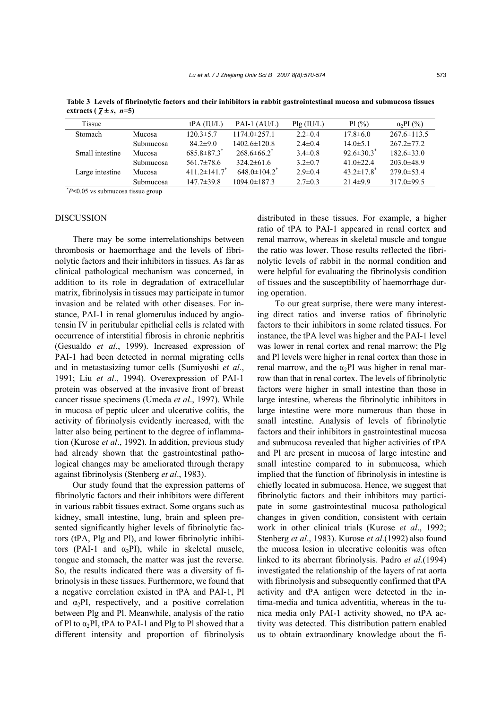| <b>Tissue</b>                              |                  | $tPA$ (IU/L)                   | PAI-1 $(AU/L)$                 | Plg (IU/L)    | $Pl($ %)                     | $\alpha_2$ PI $(\% )$ |
|--------------------------------------------|------------------|--------------------------------|--------------------------------|---------------|------------------------------|-----------------------|
| <b>Stomach</b>                             | Mucosa           | $120.3 \pm 5.7$                | $1174.0\pm 257.1$              | $2.2 \pm 0.4$ | $17.8 \pm 6.0$               | $267.6 \pm 113.5$     |
|                                            | <b>Submucosa</b> | $84.2 \pm 9.0$                 | $1402.6 \pm 120.8$             | $2.4 \pm 0.4$ | $14.0 \pm 5.1$               | $267.2 \pm 77.2$      |
| Small intestine                            | Mucosa           | $685.8 \pm 87.3$ <sup>*</sup>  | $268.6\pm 66.2$ <sup>*</sup>   | $3.4\pm0.8$   | $92.6 \pm 30.3$ <sup>*</sup> | $182.6 \pm 33.0$      |
|                                            | <b>Submucosa</b> | $561.7\pm78.6$                 | $324.2\pm 61.6$                | $3.2 \pm 0.7$ | 41.0 $\pm$ 22.4              | $203.0\pm48.9$        |
| Large intestine                            | Mucosa           | $411.2 \pm 141.7$ <sup>*</sup> | $648.0 \pm 104.2$ <sup>*</sup> | $2.9 \pm 0.4$ | $43.2 \pm 17.8$ <sup>*</sup> | $279.0 \pm 53.4$      |
|                                            | Submucosa        | $147.7 \pm 39.8$               | $1094.0 \pm 187.3$             | $2.7 \pm 0.3$ | $21.4\pm9.9$                 | $317.0 \pm 99.5$      |
| $n \times 0.05$ is submissed tiesus around |                  |                                |                                |               |                              |                       |

**Table 3 Levels of fibrinolytic factors and their inhibitors in rabbit gastrointestinal mucosa and submucosa tissues extracts** ( $\bar{\gamma} \pm s$ , *n*=5)

*P***<**0.05 vs submucosa tissue group

## **DISCUSSION**

There may be some interrelationships between thrombosis or haemorrhage and the levels of fibrinolytic factors and their inhibitors in tissues. As far as clinical pathological mechanism was concerned, in addition to its role in degradation of extracellular matrix, fibrinolysis in tissues may participate in tumor invasion and be related with other diseases. For instance, PAI-1 in renal glomerulus induced by angiotensin IV in peritubular epithelial cells is related with occurrence of interstitial fibrosis in chronic nephritis (Gesualdo *et al*., 1999). Increased expression of PAI-1 had been detected in normal migrating cells and in metastasizing tumor cells (Sumiyoshi *et al*., 1991; Liu *et al*., 1994). Overexpression of PAI-1 protein was observed at the invasive front of breast cancer tissue specimens (Umeda *et al*., 1997). While in mucosa of peptic ulcer and ulcerative colitis, the activity of fibrinolysis evidently increased, with the latter also being pertinent to the degree of inflammation (Kurose *et al*., 1992). In addition, previous study had already shown that the gastrointestinal pathological changes may be ameliorated through therapy against fibrinolysis (Stenberg *et al*., 1983).

Our study found that the expression patterns of fibrinolytic factors and their inhibitors were different in various rabbit tissues extract. Some organs such as kidney, small intestine, lung, brain and spleen presented significantly higher levels of fibrinolytic factors (tPA, Plg and Pl), and lower fibrinolytic inhibitors (PAI-1 and  $\alpha_2$ PI), while in skeletal muscle, tongue and stomach, the matter was just the reverse. So, the results indicated there was a diversity of fibrinolysis in these tissues. Furthermore, we found that a negative correlation existed in tPA and PAI-1, Pl and  $\alpha_2$ PI, respectively, and a positive correlation between Plg and Pl. Meanwhile, analysis of the ratio of Pl to  $\alpha_2$ PI, tPA to PAI-1 and Plg to Pl showed that a different intensity and proportion of fibrinolysis

distributed in these tissues. For example, a higher ratio of tPA to PAI-1 appeared in renal cortex and renal marrow, whereas in skeletal muscle and tongue the ratio was lower. Those results reflected the fibrinolytic levels of rabbit in the normal condition and were helpful for evaluating the fibrinolysis condition of tissues and the susceptibility of haemorrhage during operation.

To our great surprise, there were many interesting direct ratios and inverse ratios of fibrinolytic factors to their inhibitors in some related tissues. For instance, the tPA level was higher and the PAI-1 level was lower in renal cortex and renal marrow; the Plg and Pl levels were higher in renal cortex than those in renal marrow, and the  $\alpha_2$ PI was higher in renal marrow than that in renal cortex. The levels of fibrinolytic factors were higher in small intestine than those in large intestine, whereas the fibrinolytic inhibitors in large intestine were more numerous than those in small intestine. Analysis of levels of fibrinolytic factors and their inhibitors in gastrointestinal mucosa and submucosa revealed that higher activities of tPA and Pl are present in mucosa of large intestine and small intestine compared to in submucosa, which implied that the function of fibrinolysis in intestine is chiefly located in submucosa. Hence, we suggest that fibrinolytic factors and their inhibitors may participate in some gastrointestinal mucosa pathological changes in given condition, consistent with certain work in other clinical trials (Kurose *et al*., 1992; Stenberg *et al*., 1983). Kurose *et al*.(1992) also found the mucosa lesion in ulcerative colonitis was often linked to its aberrant fibrinolysis. Padro *et al*.(1994) investigated the relationship of the layers of rat aorta with fibrinolysis and subsequently confirmed that tPA activity and tPA antigen were detected in the intima-media and tunica adventitia, whereas in the tunica media only PAI-1 activity showed, no tPA activity was detected. This distribution pattern enabled us to obtain extraordinary knowledge about the fi